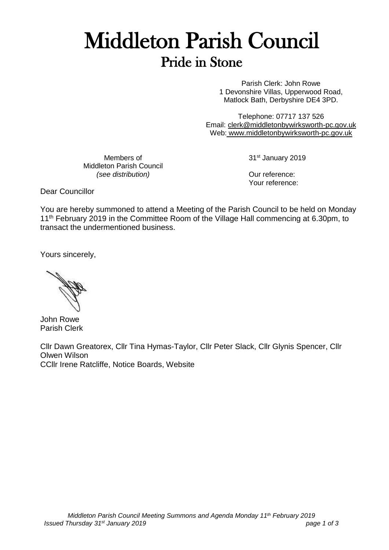# Middleton Parish Council Pride in Stone

Parish Clerk: John Rowe 1 Devonshire Villas, Upperwood Road, Matlock Bath, Derbyshire DE4 3PD.

Telephone: 07717 137 526 Email: [clerk@middletonbywirksworth-pc.gov.uk](mailto:clerk@middletonbywirksworth-pc.gov.uk) Web: [www.middletonbywirksworth-pc.gov.uk](http://www.middletonbywirksworth-pc.gov.uk/)

Members of Middleton Parish Council *(see distribution)*

31st January 2019

Our reference: Your reference:

Dear Councillor

You are hereby summoned to attend a Meeting of the Parish Council to be held on Monday 11<sup>th</sup> February 2019 in the Committee Room of the Village Hall commencing at 6.30pm, to transact the undermentioned business.

Yours sincerely,

John Rowe Parish Clerk

Cllr Dawn Greatorex, Cllr Tina Hymas-Taylor, Cllr Peter Slack, Cllr Glynis Spencer, Cllr Olwen Wilson CCllr Irene Ratcliffe, Notice Boards, Website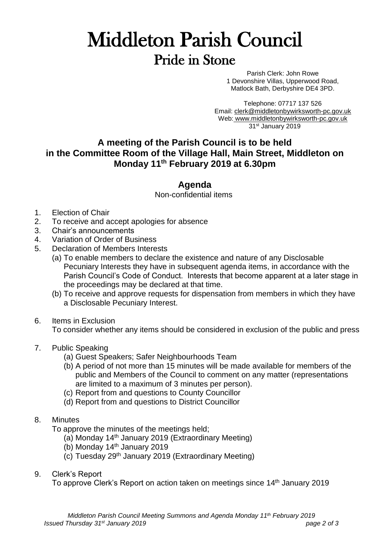## Middleton Parish Council Pride in Stone

Parish Clerk: John Rowe 1 Devonshire Villas, Upperwood Road, Matlock Bath, Derbyshire DE4 3PD.

Telephone: 07717 137 526 Email: [clerk@middletonbywirksworth-pc.gov.uk](mailto:clerk@middletonbywirksworth-pc.gov.uk) Web: [www.middletonbywirksworth-pc.gov.uk](http://www.middletonbywirksworth-pc.gov.uk/) 31st January 2019

## **A meeting of the Parish Council is to be held in the Committee Room of the Village Hall, Main Street, Middleton on Monday 11 th February 2019 at 6.30pm**

### **Agenda**

Non-confidential items

- 1. Election of Chair
- 2. To receive and accept apologies for absence
- 3. Chair's announcements
- 4. Variation of Order of Business
- 5. Declaration of Members Interests
	- (a) To enable members to declare the existence and nature of any Disclosable Pecuniary Interests they have in subsequent agenda items, in accordance with the Parish Council's Code of Conduct. Interests that become apparent at a later stage in the proceedings may be declared at that time.
	- (b) To receive and approve requests for dispensation from members in which they have a Disclosable Pecuniary Interest.
- 6. Items in Exclusion

To consider whether any items should be considered in exclusion of the public and press

- 7. Public Speaking
	- (a) Guest Speakers; Safer Neighbourhoods Team
	- (b) A period of not more than 15 minutes will be made available for members of the public and Members of the Council to comment on any matter (representations are limited to a maximum of 3 minutes per person).
	- (c) Report from and questions to County Councillor
	- (d) Report from and questions to District Councillor
- 8. Minutes

To approve the minutes of the meetings held;

- (a) Monday 14th January 2019 (Extraordinary Meeting)
- (b) Monday 14th January 2019
- (c) Tuesday 29th January 2019 (Extraordinary Meeting)
- 9. Clerk's Report

To approve Clerk's Report on action taken on meetings since 14<sup>th</sup> January 2019